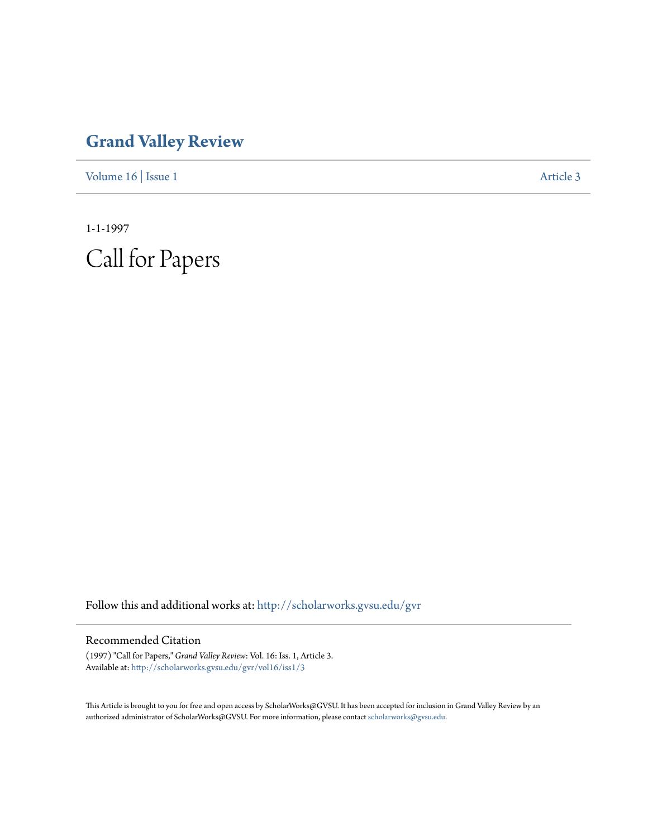## **[Grand Valley Review](http://scholarworks.gvsu.edu/gvr?utm_source=scholarworks.gvsu.edu%2Fgvr%2Fvol16%2Fiss1%2F3&utm_medium=PDF&utm_campaign=PDFCoverPages)**

[Volume 16](http://scholarworks.gvsu.edu/gvr/vol16?utm_source=scholarworks.gvsu.edu%2Fgvr%2Fvol16%2Fiss1%2F3&utm_medium=PDF&utm_campaign=PDFCoverPages) | [Issue 1](http://scholarworks.gvsu.edu/gvr/vol16/iss1?utm_source=scholarworks.gvsu.edu%2Fgvr%2Fvol16%2Fiss1%2F3&utm_medium=PDF&utm_campaign=PDFCoverPages) [Article 3](http://scholarworks.gvsu.edu/gvr/vol16/iss1/3?utm_source=scholarworks.gvsu.edu%2Fgvr%2Fvol16%2Fiss1%2F3&utm_medium=PDF&utm_campaign=PDFCoverPages)

1-1-1997 Call for Papers

Follow this and additional works at: [http://scholarworks.gvsu.edu/gvr](http://scholarworks.gvsu.edu/gvr?utm_source=scholarworks.gvsu.edu%2Fgvr%2Fvol16%2Fiss1%2F3&utm_medium=PDF&utm_campaign=PDFCoverPages)

## Recommended Citation

(1997) "Call for Papers," *Grand Valley Review*: Vol. 16: Iss. 1, Article 3. Available at: [http://scholarworks.gvsu.edu/gvr/vol16/iss1/3](http://scholarworks.gvsu.edu/gvr/vol16/iss1/3?utm_source=scholarworks.gvsu.edu%2Fgvr%2Fvol16%2Fiss1%2F3&utm_medium=PDF&utm_campaign=PDFCoverPages)

This Article is brought to you for free and open access by ScholarWorks@GVSU. It has been accepted for inclusion in Grand Valley Review by an authorized administrator of ScholarWorks@GVSU. For more information, please contact [scholarworks@gvsu.edu.](mailto:scholarworks@gvsu.edu)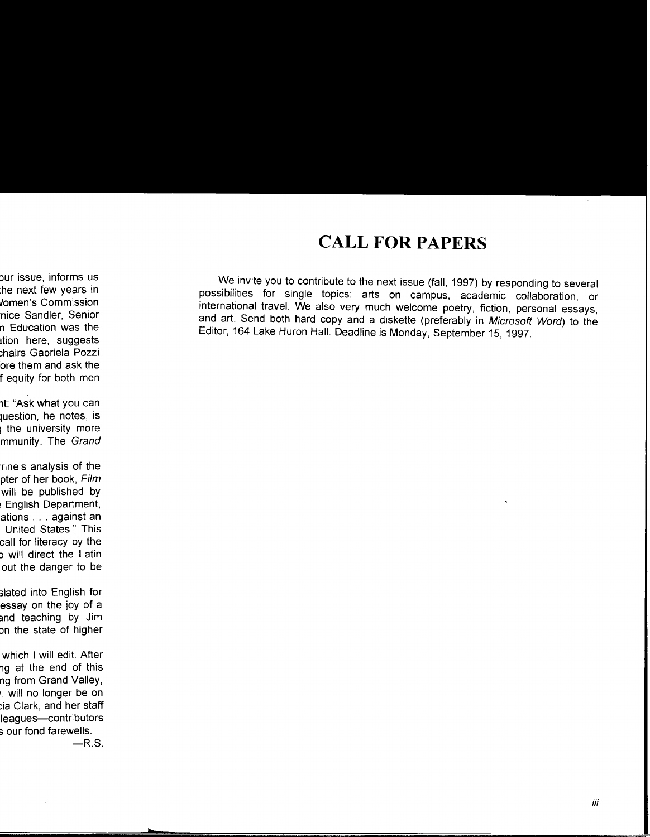## **CALL FOR PAPERS**

We invite you to contribute to the next issue (fall, 1997) by responding to several possibilities for single topics: arts on campus, academic collaboration, or international travel. We also very much welcome poetry, fiction, personal essays, and art. Send both hard copy and a diskette (preferably in Microsoft Word) to the Editor, 164 Lake Huron Hall. Deadline is Monday, September 15, 1997.